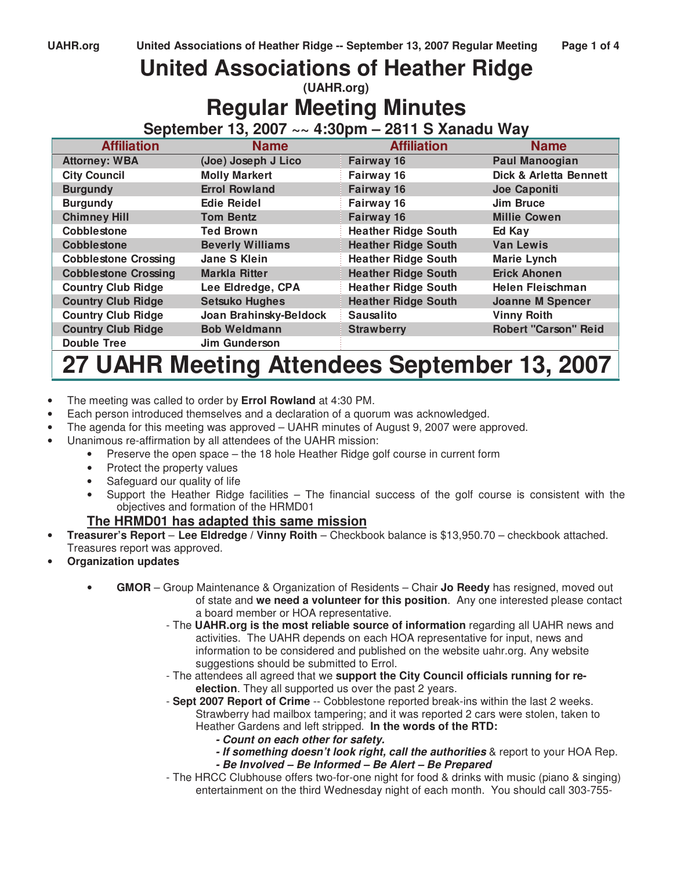# **United Associations of Heather Ridge**

**(UAHR.org)**

# **Regular Meeting Minutes**

**September 13, 2007 ~~ 4:30pm – 2811 S Xanadu Way** 

| <b>Affiliation</b>          | <b>Name</b>             | <b>Affiliation</b>         | <b>Name</b>                 |
|-----------------------------|-------------------------|----------------------------|-----------------------------|
| <b>Attorney: WBA</b>        | (Joe) Joseph J Lico     | Fairway 16                 | <b>Paul Manoogian</b>       |
| <b>City Council</b>         | <b>Molly Markert</b>    | Fairway 16                 | Dick & Arletta Bennett      |
| <b>Burgundy</b>             | <b>Errol Rowland</b>    | Fairway 16                 | Joe Caponiti                |
| <b>Burgundy</b>             | <b>Edie Reidel</b>      | Fairway 16                 | Jim Bruce                   |
| <b>Chimney Hill</b>         | <b>Tom Bentz</b>        | <b>Fairway 16</b>          | <b>Millie Cowen</b>         |
| Cobblestone                 | <b>Ted Brown</b>        | <b>Heather Ridge South</b> | Ed Kay                      |
| <b>Cobblestone</b>          | <b>Beverly Williams</b> | <b>Heather Ridge South</b> | <b>Van Lewis</b>            |
| <b>Cobblestone Crossing</b> | Jane S Klein            | <b>Heather Ridge South</b> | <b>Marie Lynch</b>          |
| <b>Cobblestone Crossing</b> | <b>Markla Ritter</b>    | <b>Heather Ridge South</b> | <b>Erick Ahonen</b>         |
| <b>Country Club Ridge</b>   | Lee Eldredge, CPA       | <b>Heather Ridge South</b> | Helen Fleischman            |
| <b>Country Club Ridge</b>   | <b>Setsuko Hughes</b>   | <b>Heather Ridge South</b> | <b>Joanne M Spencer</b>     |
| <b>Country Club Ridge</b>   | Joan Brahinsky-Beldock  | <b>Sausalito</b>           | <b>Vinny Roith</b>          |
| <b>Country Club Ridge</b>   | <b>Bob Weldmann</b>     | <b>Strawberry</b>          | <b>Robert "Carson" Reid</b> |
| <b>Double Tree</b>          | Jim Gunderson           |                            |                             |

# **27 UAHR Meeting Attendees September 13, 2007**

- The meeting was called to order by **Errol Rowland** at 4:30 PM.
- Each person introduced themselves and a declaration of a quorum was acknowledged.
- The agenda for this meeting was approved UAHR minutes of August 9, 2007 were approved.
- Unanimous re-affirmation by all attendees of the UAHR mission:
	- Preserve the open space the 18 hole Heather Ridge golf course in current form
	- Protect the property values
	- Safeguard our quality of life
	- Support the Heather Ridge facilities The financial success of the golf course is consistent with the objectives and formation of the HRMD01

## **The HRMD01 has adapted this same mission**

- **Treasurer's Report Lee Eldredge / Vinny Roith** Checkbook balance is \$13,950.70 checkbook attached. Treasures report was approved.
- **Organization updates** 
	- **GMOR** Group Maintenance & Organization of Residents Chair **Jo Reedy** has resigned, moved out of state and **we need a volunteer for this position**. Any one interested please contact a board member or HOA representative.
		- The **UAHR.org is the most reliable source of information** regarding all UAHR news and activities. The UAHR depends on each HOA representative for input, news and information to be considered and published on the website uahr.org. Any website suggestions should be submitted to Errol.
		- The attendees all agreed that we **support the City Council officials running for reelection**. They all supported us over the past 2 years.
		- **Sept 2007 Report of Crime** -- Cobblestone reported break-ins within the last 2 weeks. Strawberry had mailbox tampering; and it was reported 2 cars were stolen, taken to Heather Gardens and left stripped. **In the words of the RTD:**
			- **Count on each other for safety.**
			- **If something doesn't look right, call the authorities** & report to your HOA Rep. **- Be Involved – Be Informed – Be Alert – Be Prepared**
		- The HRCC Clubhouse offers two-for-one night for food & drinks with music (piano & singing) entertainment on the third Wednesday night of each month. You should call 303-755-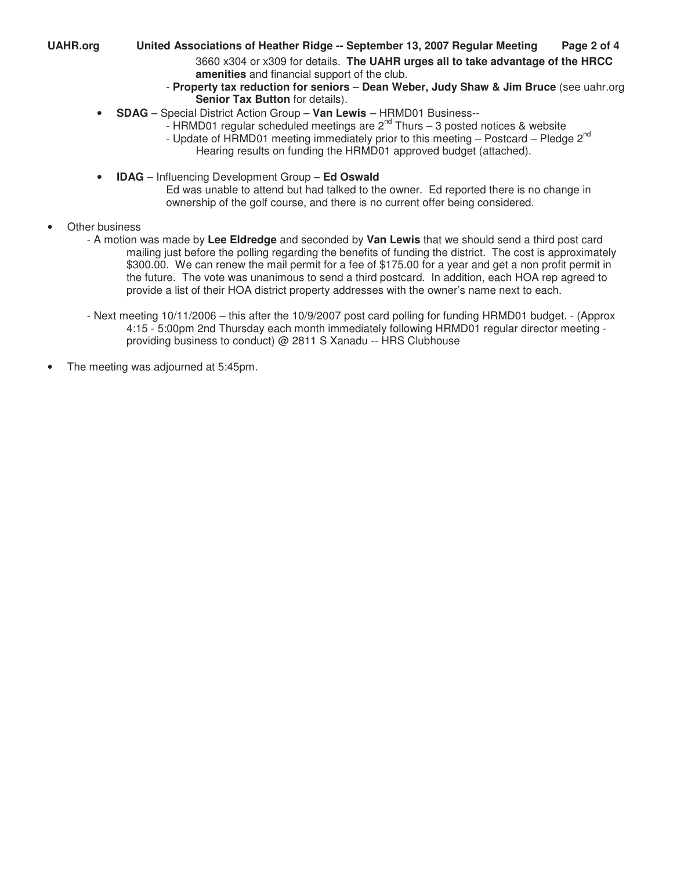#### **UAHR.org United Associations of Heather Ridge -- September 13, 2007 Regular Meeting Page 2 of 4**  3660 x304 or x309 for details. **The UAHR urges all to take advantage of the HRCC amenities** and financial support of the club.

- **Property tax reduction for seniors Dean Weber, Judy Shaw & Jim Bruce** (see uahr.org **Senior Tax Button** for details).
- **SDAG** Special District Action Group **Van Lewis** HRMD01 Business--
	- HRMD01 regular scheduled meetings are  $2^{nd}$  Thurs 3 posted notices & website
	- Update of HRMD01 meeting immediately prior to this meeting Postcard Pledge 2<sup>nd</sup> Hearing results on funding the HRMD01 approved budget (attached).
	-
- **IDAG** Influencing Development Group **Ed Oswald**

Ed was unable to attend but had talked to the owner. Ed reported there is no change in ownership of the golf course, and there is no current offer being considered.

- Other business
	- A motion was made by **Lee Eldredge** and seconded by **Van Lewis** that we should send a third post card mailing just before the polling regarding the benefits of funding the district. The cost is approximately \$300.00. We can renew the mail permit for a fee of \$175.00 for a year and get a non profit permit in the future. The vote was unanimous to send a third postcard. In addition, each HOA rep agreed to provide a list of their HOA district property addresses with the owner's name next to each.
	- Next meeting 10/11/2006 this after the 10/9/2007 post card polling for funding HRMD01 budget. (Approx 4:15 - 5:00pm 2nd Thursday each month immediately following HRMD01 regular director meeting providing business to conduct) @ 2811 S Xanadu -- HRS Clubhouse
- The meeting was adjourned at 5:45pm.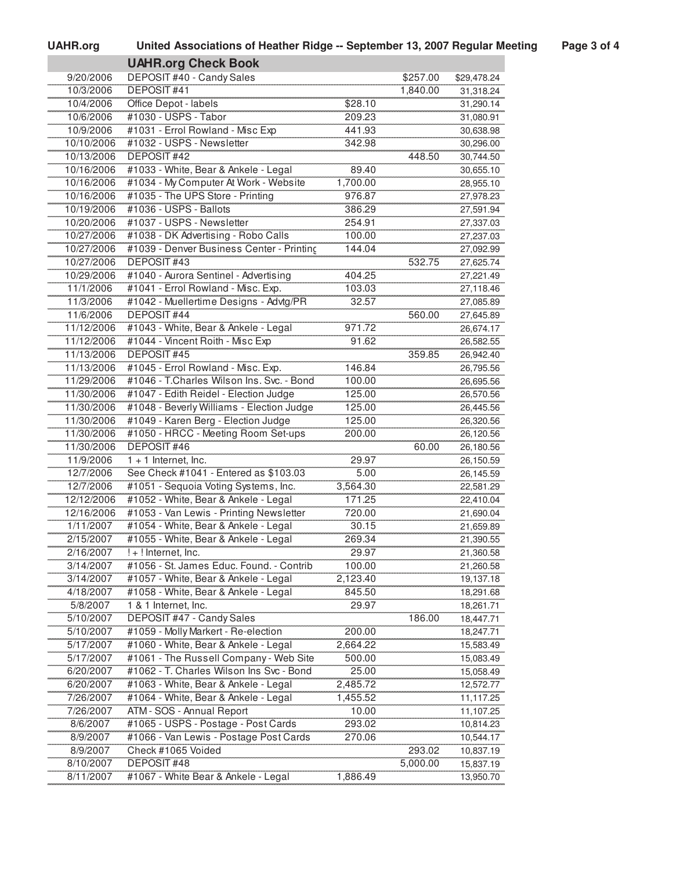| <b>UAHR.org</b> | United Associations of Heather Ridge -- September 13, 2007 Regular Meeting | Page 3 of 4 |
|-----------------|----------------------------------------------------------------------------|-------------|
|                 |                                                                            |             |

|                        | <b>UAHR.org Check Book</b>                |          |          |             |
|------------------------|-------------------------------------------|----------|----------|-------------|
| 9/20/2006              | DEPOSIT #40 - Candy Sales                 |          | \$257.00 | \$29,478.24 |
| 10/3/2006              | <b>DEPOSIT#41</b>                         |          | 1,840.00 | 31,318.24   |
| 10/4/2006              | Office Depot - labels                     | \$28.10  |          | 31,290.14   |
| 10/6/2006              | #1030 - USPS - Tabor                      | 209.23   |          | 31,080.91   |
| 10/9/2006              | #1031 - Errol Rowland - Misc Exp          | 441.93   |          | 30,638.98   |
| 10/10/2006             | #1032 - USPS - Newsletter                 | 342.98   |          | 30,296.00   |
| 10/13/2006             | <b>DEPOSIT#42</b>                         |          | 448.50   | 30,744.50   |
| 10/16/2006             | #1033 - White, Bear & Ankele - Legal      | 89.40    |          | 30,655.10   |
| 10/16/2006             | #1034 - My Computer At Work - Website     | 1,700.00 |          | 28,955.10   |
| 10/16/2006             | #1035 - The UPS Store - Printing          | 976.87   |          | 27,978.23   |
| 10/19/2006             | #1036 - USPS - Ballots                    | 386.29   |          | 27,591.94   |
| 10/20/2006             | #1037 - USPS - Newsletter                 | 254.91   |          | 27,337.03   |
| 10/27/2006             | #1038 - DK Advertising - Robo Calls       | 100.00   |          | 27,237.03   |
| 10/27/2006             | #1039 - Denver Business Center - Printing | 144.04   |          | 27,092.99   |
| 10/27/2006             | <b>DEPOSIT#43</b>                         |          | 532.75   | 27,625.74   |
| 10/29/2006             | #1040 - Aurora Sentinel - Advertising     | 404.25   |          | 27,221.49   |
| 11/1/2006              | #1041 - Errol Rowland - Misc. Exp.        | 103.03   |          | 27,118.46   |
| 11/3/2006              | #1042 - Muellertime Designs - Advtg/PR    | 32.57    |          | 27,085.89   |
| 11/6/2006              | <b>DEPOSIT #44</b>                        |          | 560.00   | 27,645.89   |
| 11/12/2006             | #1043 - White, Bear & Ankele - Legal      | 971.72   |          | 26,674.17   |
| 11/12/2006             | #1044 - Vincent Roith - Misc Exp          | 91.62    |          | 26,582.55   |
| 11/13/2006             | <b>DEPOSIT#45</b>                         |          | 359.85   | 26,942.40   |
| 11/13/2006             | #1045 - Errol Rowland - Misc. Exp.        | 146.84   |          | 26,795.56   |
| 11/29/2006             | #1046 - T.Charles Wilson Ins. Svc. - Bond | 100.00   |          | 26,695.56   |
| 11/30/2006             | #1047 - Edith Reidel - Election Judge     | 125.00   |          | 26,570.56   |
| 11/30/2006             | #1048 - Beverly Williams - Election Judge | 125.00   |          | 26,445.56   |
| 11/30/2006             | #1049 - Karen Berg - Election Judge       | 125.00   |          | 26,320.56   |
| 11/30/2006             | #1050 - HRCC - Meeting Room Set-ups       | 200.00   |          | 26,120.56   |
| 11/30/2006             | <b>DEPOSIT#46</b>                         |          | 60.00    | 26,180.56   |
| 11/9/2006              | $1 + 1$ Internet, Inc.                    | 29.97    |          | 26,150.59   |
| 12/7/2006              | See Check #1041 - Entered as \$103.03     | 5.00     |          | 26,145.59   |
| 12/7/2006              | #1051 - Sequoia Voting Systems, Inc.      | 3,564.30 |          | 22,581.29   |
| 12/12/2006             | #1052 - White, Bear & Ankele - Legal      | 171.25   |          | 22,410.04   |
| 12/16/2006             | #1053 - Van Lewis - Printing Newsletter   | 720.00   |          | 21,690.04   |
| 1/11/2007              | #1054 - White, Bear & Ankele - Legal      | 30.15    |          | 21,659.89   |
| 2/15/2007              | #1055 - White, Bear & Ankele - Legal      | 269.34   |          | 21,390.55   |
| 2/16/2007              | ! + ! Internet, Inc.                      | 29.97    |          | 21,360.58   |
|                        |                                           |          |          |             |
| 3/14/2007<br>3/14/2007 | #1056 - St. James Educ. Found. - Contrib  | 100.00   |          | 21,260.58   |
|                        | #1057 - White, Bear & Ankele - Legal      | 2,123.40 |          | 19,137.18   |
| 4/18/2007              | #1058 - White, Bear & Ankele - Legal      | 845.50   |          | 18,291.68   |
| 5/8/2007               | 1 & 1 Internet, Inc.                      | 29.97    |          | 18,261.71   |
| 5/10/2007              | <b>DEPOSIT #47 - Candy Sales</b>          |          | 186.00   | 18,447.71   |
| 5/10/2007              | #1059 - Molly Markert - Re-election       | 200.00   |          | 18,247.71   |
| 5/17/2007              | #1060 - White, Bear & Ankele - Legal      | 2,664.22 |          | 15,583.49   |
| 5/17/2007              | #1061 - The Russell Company - Web Site    | 500.00   |          | 15,083.49   |
| 6/20/2007              | #1062 - T. Charles Wilson Ins Svc - Bond  | 25.00    |          | 15,058.49   |
| 6/20/2007              | #1063 - White, Bear & Ankele - Legal      | 2,485.72 |          | 12,572.77   |
| 7/26/2007              | #1064 - White, Bear & Ankele - Legal      | 1,455.52 |          | 11,117.25   |
| 7/26/2007              | ATM - SOS - Annual Report                 | 10.00    |          | 11,107.25   |
| 8/6/2007               | #1065 - USPS - Postage - Post Cards       | 293.02   |          | 10,814.23   |
| 8/9/2007               | #1066 - Van Lewis - Postage Post Cards    | 270.06   |          | 10,544.17   |
| 8/9/2007               | Check #1065 Voided                        |          | 293.02   | 10,837.19   |
| 8/10/2007              | DEPOSIT #48                               |          | 5,000.00 | 15,837.19   |
| 8/11/2007              | #1067 - White Bear & Ankele - Legal       | 1,886.49 |          | 13,950.70   |